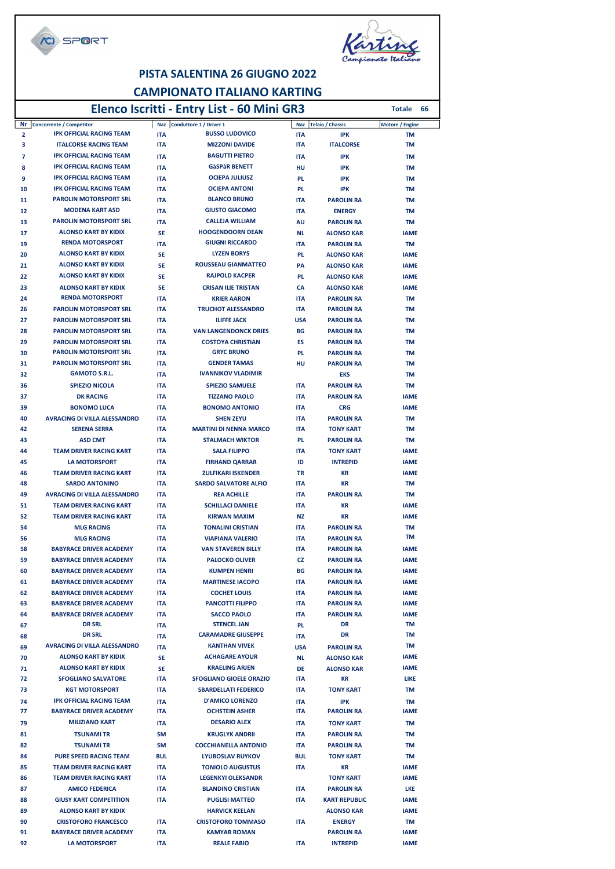



#### PISTA SALENTINA 26 GIUGNO 2022 CAMPIONATO ITALIANO KARTING Elenco Iscritti - Entry List - 60 Mini GR3

|          |                                                                |                          | Elenco Iscritti - Entry List - 60 Mini GR3         |                          |                                        | 66<br><b>Totale</b> |
|----------|----------------------------------------------------------------|--------------------------|----------------------------------------------------|--------------------------|----------------------------------------|---------------------|
| Nr       | <b>Concorrente / Competitor</b>                                |                          | Naz Conduttore 1 / Driver 1                        |                          | Naz Telaio / Chassis                   | Motore / Engine     |
| 2        | <b>IPK OFFICIAL RACING TEAM</b>                                | <b>ITA</b>               | <b>BUSSO LUDOVICO</b>                              | <b>ITA</b>               | <b>IPK</b>                             | <b>TM</b>           |
| з        | <b>ITALCORSE RACING TEAM</b>                                   | <b>ITA</b>               | <b>MIZZONI DAVIDE</b>                              | <b>ITA</b>               | <b>ITALCORSE</b>                       | TM                  |
| 7        | <b>IPK OFFICIAL RACING TEAM</b>                                | <b>ITA</b>               | <b>BAGUTTI PIETRO</b>                              | <b>ITA</b>               | <b>IPK</b>                             | TM                  |
| 8        | <b>IPK OFFICIAL RACING TEAM</b>                                | <b>ITA</b>               | <b>GàSPàR BENETT</b>                               | HU                       | <b>IPK</b>                             | ΤM                  |
| 9        | <b>IPK OFFICIAL RACING TEAM</b>                                | <b>ITA</b>               | <b>OCIEPA JULIUSZ</b>                              | <b>PL</b>                | <b>IPK</b>                             | TM                  |
| 10       | <b>IPK OFFICIAL RACING TEAM</b>                                | <b>ITA</b>               | <b>OCIEPA ANTONI</b>                               | <b>PL</b>                | <b>IPK</b>                             | ΤM                  |
| 11       | <b>PAROLIN MOTORSPORT SRL</b>                                  | <b>ITA</b>               | <b>BLANCO BRUNO</b>                                | <b>ITA</b>               | <b>PAROLIN RA</b>                      | ΤM                  |
| 12       | <b>MODENA KART ASD</b>                                         | <b>ITA</b>               | <b>GIUSTO GIACOMO</b>                              | <b>ITA</b>               | <b>ENERGY</b>                          | ΤM                  |
| 13       | <b>PAROLIN MOTORSPORT SRL</b>                                  | <b>ITA</b>               | <b>CALLEJA WILLIAM</b>                             | AU                       | <b>PAROLIN RA</b>                      | TM                  |
| 17       | <b>ALONSO KART BY KIDIX</b>                                    | <b>SE</b>                | <b>HOOGENDOORN DEAN</b>                            | <b>NL</b>                | <b>ALONSO KAR</b>                      | <b>IAME</b>         |
| 19       | <b>RENDA MOTORSPORT</b>                                        | <b>ITA</b>               | <b>GIUGNI RICCARDO</b>                             | <b>ITA</b>               | <b>PAROLIN RA</b>                      | TM                  |
| 20       | <b>ALONSO KART BY KIDIX</b>                                    | <b>SE</b>                | <b>LYZEN BORYS</b>                                 | <b>PL</b>                | <b>ALONSO KAR</b>                      | <b>IAME</b>         |
| 21       | <b>ALONSO KART BY KIDIX</b>                                    | <b>SE</b>                | <b>ROUSSEAU GIANMATTEO</b>                         | PA                       | <b>ALONSO KAR</b>                      | <b>IAME</b>         |
| 22       | <b>ALONSO KART BY KIDIX</b>                                    | <b>SE</b>                | <b>RAJPOLD KACPER</b>                              | <b>PL</b>                | <b>ALONSO KAR</b>                      | <b>IAME</b>         |
| 23       | <b>ALONSO KART BY KIDIX</b><br><b>RENDA MOTORSPORT</b>         | <b>SE</b>                | <b>CRISAN ILIE TRISTAN</b>                         | CA                       | <b>ALONSO KAR</b>                      | <b>IAME</b>         |
| 24       |                                                                | <b>ITA</b>               | <b>KRIER AARON</b>                                 | <b>ITA</b>               | <b>PAROLIN RA</b>                      | TM                  |
| 26       | <b>PAROLIN MOTORSPORT SRL</b>                                  | <b>ITA</b>               | <b>TRUCHOT ALESSANDRO</b>                          | <b>ITA</b>               | <b>PAROLIN RA</b>                      | ΤM                  |
| 27       | <b>PAROLIN MOTORSPORT SRL</b>                                  | <b>ITA</b>               | <b>ILIFFE JACK</b><br><b>VAN LANGENDONCK DRIES</b> | <b>USA</b>               | <b>PAROLIN RA</b>                      | ΤM                  |
| 28<br>29 | <b>PAROLIN MOTORSPORT SRL</b><br><b>PAROLIN MOTORSPORT SRL</b> | <b>ITA</b><br><b>ITA</b> | <b>COSTOYA CHRISTIAN</b>                           | BG<br>ES                 | <b>PAROLIN RA</b><br><b>PAROLIN RA</b> | ΤM<br>ТM            |
| 30       | <b>PAROLIN MOTORSPORT SRL</b>                                  | <b>ITA</b>               | <b>GRYC BRUNO</b>                                  | <b>PL</b>                | <b>PAROLIN RA</b>                      | ΤM                  |
| 31       | <b>PAROLIN MOTORSPORT SRL</b>                                  | <b>ITA</b>               | <b>GENDER TAMAS</b>                                | HU                       | <b>PAROLIN RA</b>                      | ΤM                  |
| 32       | <b>GAMOTO S.R.L.</b>                                           | <b>ITA</b>               | <b>IVANNIKOV VLADIMIR</b>                          |                          | <b>EKS</b>                             | ΤM                  |
| 36       | <b>SPIEZIO NICOLA</b>                                          | <b>ITA</b>               | <b>SPIEZIO SAMUELE</b>                             | <b>ITA</b>               | <b>PAROLIN RA</b>                      | TM                  |
| 37       | <b>DK RACING</b>                                               | <b>ITA</b>               | <b>TIZZANO PAOLO</b>                               | <b>ITA</b>               | <b>PAROLIN RA</b>                      | <b>IAME</b>         |
| 39       | <b>BONOMO LUCA</b>                                             | <b>ITA</b>               | <b>BONOMO ANTONIO</b>                              | <b>ITA</b>               | <b>CRG</b>                             | <b>IAME</b>         |
| 40       | <b>AVRACING DI VILLA ALESSANDRO</b>                            | <b>ITA</b>               | <b>SHEN ZEYU</b>                                   | <b>ITA</b>               | <b>PAROLIN RA</b>                      | TM                  |
| 42       | <b>SERENA SERRA</b>                                            | <b>ITA</b>               | <b>MARTINI DI NENNA MARCO</b>                      | <b>ITA</b>               | <b>TONY KART</b>                       | TM                  |
| 43       | <b>ASD CMT</b>                                                 | <b>ITA</b>               | <b>STALMACH WIKTOR</b>                             | <b>PL</b>                | <b>PAROLIN RA</b>                      | ТM                  |
| 44       | <b>TEAM DRIVER RACING KART</b>                                 | <b>ITA</b>               | <b>SALA FILIPPO</b>                                | <b>ITA</b>               | <b>TONY KART</b>                       | <b>IAME</b>         |
| 45       | <b>LA MOTORSPORT</b>                                           | <b>ITA</b>               | <b>FIRHAND QARRAR</b>                              | ID                       | <b>INTREPID</b>                        | <b>IAME</b>         |
| 46       | <b>TEAM DRIVER RACING KART</b>                                 | <b>ITA</b>               | <b>ZULFIKARI ISKENDER</b>                          | TR                       | KR                                     | <b>IAME</b>         |
| 48       | <b>SARDO ANTONINO</b>                                          | <b>ITA</b>               | <b>SARDO SALVATORE ALFIO</b>                       | <b>ITA</b>               | KR                                     | ТM                  |
| 49       | <b>AVRACING DI VILLA ALESSANDRO</b>                            | <b>ITA</b>               | <b>REA ACHILLE</b>                                 | <b>ITA</b>               | <b>PAROLIN RA</b>                      | ТM                  |
| 51       | <b>TEAM DRIVER RACING KART</b>                                 | <b>ITA</b>               | <b>SCHILLACI DANIELE</b>                           | <b>ITA</b>               | КR                                     | <b>IAME</b>         |
| 52       | <b>TEAM DRIVER RACING KART</b>                                 | <b>ITA</b>               | <b>KIRWAN MAXIM</b>                                | ΝZ                       | KR                                     | <b>IAME</b>         |
| 54       | <b>MLG RACING</b>                                              | <b>ITA</b>               | <b>TONALINI CRISTIAN</b>                           | <b>ITA</b>               | <b>PAROLIN RA</b>                      | ТM                  |
| 56       | <b>MLG RACING</b>                                              | <b>ITA</b>               | <b>VIAPIANA VALERIO</b>                            | <b>ITA</b>               | <b>PAROLIN RA</b>                      | ΤM                  |
| 58       | <b>BABYRACE DRIVER ACADEMY</b>                                 | <b>ITA</b>               | <b>VAN STAVEREN BILLY</b>                          | <b>ITA</b>               | <b>PAROLIN RA</b>                      | <b>IAME</b>         |
| 59       | <b>BABYRACE DRIVER ACADEMY</b>                                 | <b>ITA</b>               | <b>PALOCKO OLIVER</b>                              | CZ                       | <b>PAROLIN RA</b>                      | <b>IAME</b>         |
| 60       | <b>BABYRACE DRIVER ACADEMY</b>                                 | <b>ITA</b>               | <b>KUMPEN HENRI</b>                                | BG                       | <b>PAROLIN RA</b>                      | <b>IAME</b>         |
| 61       | <b>BABYRACE DRIVER ACADEMY</b>                                 | <b>ITA</b>               | <b>MARTINESE IACOPO</b>                            | <b>ITA</b>               | <b>PAROLIN RA</b>                      | <b>IAME</b>         |
| 62       | <b>BABYRACE DRIVER ACADEMY</b>                                 | <b>ITA</b>               | <b>COCHET LOUIS</b>                                | <b>ITA</b>               | <b>PAROLIN RA</b>                      | <b>IAME</b>         |
| 63       | <b>BABYRACE DRIVER ACADEMY</b>                                 | <b>ITA</b>               | <b>PANCOTTI FILIPPO</b>                            | <b>ITA</b>               | <b>PAROLIN RA</b>                      | <b>IAME</b>         |
| 64       | <b>BABYRACE DRIVER ACADEMY</b><br><b>DR SRL</b>                | <b>ITA</b>               | <b>SACCO PAOLO</b><br><b>STENCEL JAN</b>           | <b>ITA</b>               | <b>PAROLIN RA</b><br>DR                | <b>IAME</b><br>TM   |
| 67       | <b>DR SRL</b>                                                  | <b>ITA</b>               | <b>CARAMADRE GIUSEPPE</b>                          | PL.                      | DR                                     | TM                  |
| 68<br>69 | <b>AVRACING DI VILLA ALESSANDRO</b>                            | <b>ITA</b><br><b>ITA</b> | <b>KANTHAN VIVEK</b>                               | <b>ITA</b><br><b>USA</b> | <b>PAROLIN RA</b>                      | TM                  |
| 70       | <b>ALONSO KART BY KIDIX</b>                                    | SE                       | <b>ACHAGARE AYOUR</b>                              | <b>NL</b>                |                                        | <b>IAME</b>         |
| 71       | <b>ALONSO KART BY KIDIX</b>                                    | <b>SE</b>                | <b>KRAELING ARJEN</b>                              | DE                       | <b>ALONSO KAR</b><br><b>ALONSO KAR</b> | <b>IAME</b>         |
| 72       | <b>SFOGLIANO SALVATORE</b>                                     | <b>ITA</b>               | <b>SFOGLIANO GIOELE ORAZIO</b>                     | <b>ITA</b>               | ΚR                                     | LIKE                |
| 73       | <b>KGT MOTORSPORT</b>                                          | <b>ITA</b>               | <b>SBARDELLATI FEDERICO</b>                        | <b>ITA</b>               | <b>TONY KART</b>                       | TM                  |
| 74       | <b>IPK OFFICIAL RACING TEAM</b>                                | <b>ITA</b>               | <b>D'AMICO LORENZO</b>                             | <b>ITA</b>               | <b>IPK</b>                             | <b>TM</b>           |
| 77       | <b>BABYRACE DRIVER ACADEMY</b>                                 | <b>ITA</b>               | <b>OCHSTEIN ASHER</b>                              | <b>ITA</b>               | <b>PAROLIN RA</b>                      | <b>IAME</b>         |
| 79       | <b>MILIZIANO KART</b>                                          | <b>ITA</b>               | <b>DESARIO ALEX</b>                                | <b>ITA</b>               | <b>TONY KART</b>                       | <b>TM</b>           |
| 81       | <b>TSUNAMI TR</b>                                              | <b>SM</b>                | <b>KRUGLYK ANDRII</b>                              | <b>ITA</b>               | <b>PAROLIN RA</b>                      | TM                  |
| 82       | <b>TSUNAMI TR</b>                                              | <b>SM</b>                | <b>COCCHIANELLA ANTONIO</b>                        | <b>ITA</b>               | <b>PAROLIN RA</b>                      | TM                  |
| 84       | <b>PURE SPEED RACING TEAM</b>                                  | <b>BUL</b>               | <b>LYUBOSLAV RUYKOV</b>                            | <b>BUL</b>               | <b>TONY KART</b>                       | TM                  |
| 85       | <b>TEAM DRIVER RACING KART</b>                                 | <b>ITA</b>               | <b>TONIOLO AUGUSTUS</b>                            | <b>ITA</b>               | KR                                     | <b>IAME</b>         |
| 86       | <b>TEAM DRIVER RACING KART</b>                                 | <b>ITA</b>               | <b>LEGENKYI OLEKSANDR</b>                          |                          | <b>TONY KART</b>                       | <b>IAME</b>         |
| 87       | <b>AMICO FEDERICA</b>                                          | <b>ITA</b>               | <b>BLANDINO CRISTIAN</b>                           | <b>ITA</b>               | <b>PAROLIN RA</b>                      | LKE                 |
| 88       | <b>GIUSY KART COMPETITION</b>                                  | <b>ITA</b>               | <b>PUGLISI MATTEO</b>                              | ITA                      | <b>KART REPUBLIC</b>                   | <b>IAME</b>         |
| 89       | <b>ALONSO KART BY KIDIX</b>                                    |                          | <b>HARVICK KEELAN</b>                              |                          | <b>ALONSO KAR</b>                      | <b>IAME</b>         |
| 90       | <b>CRISTOFORO FRANCESCO</b>                                    | <b>ITA</b>               | <b>CRISTOFORO TOMMASO</b>                          | <b>ITA</b>               | <b>ENERGY</b>                          | TM                  |
| 91       | <b>BABYRACE DRIVER ACADEMY</b>                                 | <b>ITA</b>               | <b>KAMYAB ROMAN</b>                                |                          | <b>PAROLIN RA</b>                      | <b>IAME</b>         |
| 92       | <b>LA MOTORSPORT</b>                                           | <b>ITA</b>               | <b>REALE FABIO</b>                                 | <b>ITA</b>               | <b>INTREPID</b>                        | <b>IAME</b>         |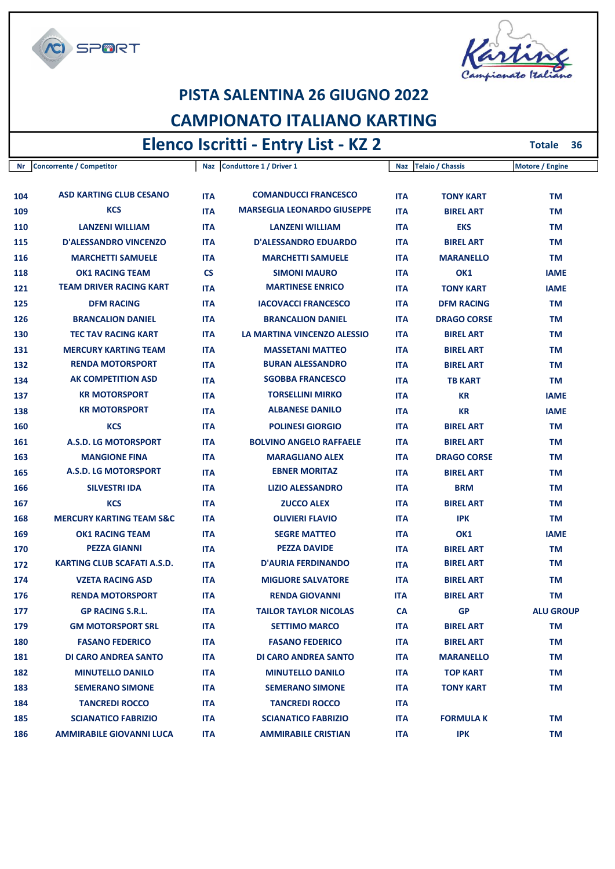

Г



# PISTA SALENTINA 26 GIUGNO 2022

## CAMPIONATO ITALIANO KARTING

## Elenco Iscritti - Entry List - KZ 2

Totale 36

| Nr  | <b>Concorrente / Competitor</b>     |            | Naz Conduttore 1 / Driver 1        | Naz        | <b>Telaio / Chassis</b> | Motore / Engine  |
|-----|-------------------------------------|------------|------------------------------------|------------|-------------------------|------------------|
|     |                                     |            |                                    |            |                         |                  |
| 104 | <b>ASD KARTING CLUB CESANO</b>      | <b>ITA</b> | <b>COMANDUCCI FRANCESCO</b>        | <b>ITA</b> | <b>TONY KART</b>        | TM               |
| 109 | <b>KCS</b>                          | <b>ITA</b> | <b>MARSEGLIA LEONARDO GIUSEPPE</b> | <b>ITA</b> | <b>BIREL ART</b>        | TM               |
| 110 | <b>LANZENI WILLIAM</b>              | <b>ITA</b> | <b>LANZENI WILLIAM</b>             | <b>ITA</b> | <b>EKS</b>              | TM               |
| 115 | <b>D'ALESSANDRO VINCENZO</b>        | <b>ITA</b> | <b>D'ALESSANDRO EDUARDO</b>        | <b>ITA</b> | <b>BIREL ART</b>        | TM               |
| 116 | <b>MARCHETTI SAMUELE</b>            | <b>ITA</b> | <b>MARCHETTI SAMUELE</b>           | <b>ITA</b> | <b>MARANELLO</b>        | TM               |
| 118 | <b>OK1 RACING TEAM</b>              | <b>CS</b>  | <b>SIMONI MAURO</b>                | <b>ITA</b> | OK1                     | <b>IAME</b>      |
| 121 | <b>TEAM DRIVER RACING KART</b>      | <b>ITA</b> | <b>MARTINESE ENRICO</b>            | <b>ITA</b> | <b>TONY KART</b>        | <b>IAME</b>      |
| 125 | <b>DFM RACING</b>                   | <b>ITA</b> | <b>IACOVACCI FRANCESCO</b>         | <b>ITA</b> | <b>DFM RACING</b>       | TM               |
| 126 | <b>BRANCALION DANIEL</b>            | <b>ITA</b> | <b>BRANCALION DANIEL</b>           | <b>ITA</b> | <b>DRAGO CORSE</b>      | ΤM               |
| 130 | <b>TEC TAV RACING KART</b>          | <b>ITA</b> | LA MARTINA VINCENZO ALESSIO        | <b>ITA</b> | <b>BIREL ART</b>        | ΤM               |
| 131 | <b>MERCURY KARTING TEAM</b>         | <b>ITA</b> | <b>MASSETANI MATTEO</b>            | <b>ITA</b> | <b>BIREL ART</b>        | TM               |
| 132 | <b>RENDA MOTORSPORT</b>             | <b>ITA</b> | <b>BURAN ALESSANDRO</b>            | <b>ITA</b> | <b>BIREL ART</b>        | TM               |
| 134 | <b>AK COMPETITION ASD</b>           | <b>ITA</b> | <b>SGOBBA FRANCESCO</b>            | <b>ITA</b> | <b>TB KART</b>          | ТM               |
| 137 | <b>KR MOTORSPORT</b>                | <b>ITA</b> | <b>TORSELLINI MIRKO</b>            | <b>ITA</b> | <b>KR</b>               | <b>IAME</b>      |
| 138 | <b>KR MOTORSPORT</b>                | <b>ITA</b> | <b>ALBANESE DANILO</b>             | <b>ITA</b> | KR                      | <b>IAME</b>      |
| 160 | <b>KCS</b>                          | <b>ITA</b> | <b>POLINESI GIORGIO</b>            | <b>ITA</b> | <b>BIREL ART</b>        | TM               |
| 161 | A.S.D. LG MOTORSPORT                | <b>ITA</b> | <b>BOLVINO ANGELO RAFFAELE</b>     | <b>ITA</b> | <b>BIREL ART</b>        | ΤM               |
| 163 | <b>MANGIONE FINA</b>                | <b>ITA</b> | <b>MARAGLIANO ALEX</b>             | <b>ITA</b> | <b>DRAGO CORSE</b>      | TM               |
| 165 | <b>A.S.D. LG MOTORSPORT</b>         | <b>ITA</b> | <b>EBNER MORITAZ</b>               | <b>ITA</b> | <b>BIREL ART</b>        | TM               |
| 166 | <b>SILVESTRI IDA</b>                | <b>ITA</b> | <b>LIZIO ALESSANDRO</b>            | <b>ITA</b> | <b>BRM</b>              | TM               |
| 167 | <b>KCS</b>                          | <b>ITA</b> | <b>ZUCCO ALEX</b>                  | <b>ITA</b> | <b>BIREL ART</b>        | ΤM               |
| 168 | <b>MERCURY KARTING TEAM S&amp;C</b> | <b>ITA</b> | <b>OLIVIERI FLAVIO</b>             | <b>ITA</b> | <b>IPK</b>              | TM               |
| 169 | <b>OK1 RACING TEAM</b>              | <b>ITA</b> | <b>SEGRE MATTEO</b>                | <b>ITA</b> | OK1                     | IAME             |
| 170 | <b>PEZZA GIANNI</b>                 | <b>ITA</b> | <b>PEZZA DAVIDE</b>                | <b>ITA</b> | <b>BIREL ART</b>        | TM               |
| 172 | KARTING CLUB SCAFATI A.S.D.         | <b>ITA</b> | <b>D'AURIA FERDINANDO</b>          | <b>ITA</b> | <b>BIREL ART</b>        | ΤM               |
| 174 | <b>VZETA RACING ASD</b>             | <b>ITA</b> | <b>MIGLIORE SALVATORE</b>          | <b>ITA</b> | <b>BIREL ART</b>        | TM               |
| 176 | <b>RENDA MOTORSPORT</b>             | <b>ITA</b> | <b>RENDA GIOVANNI</b>              | <b>ITA</b> | <b>BIREL ART</b>        | TM               |
| 177 | <b>GP RACING S.R.L.</b>             | <b>ITA</b> | <b>TAILOR TAYLOR NICOLAS</b>       | <b>CA</b>  | <b>GP</b>               | <b>ALU GROUP</b> |
| 179 | <b>GM MOTORSPORT SRL</b>            | <b>ITA</b> | <b>SETTIMO MARCO</b>               | <b>ITA</b> | <b>BIREL ART</b>        | TM               |
| 180 | <b>FASANO FEDERICO</b>              | <b>ITA</b> | <b>FASANO FEDERICO</b>             | <b>ITA</b> | <b>BIREL ART</b>        | TM               |
| 181 | <b>DI CARO ANDREA SANTO</b>         | <b>ITA</b> | DI CARO ANDREA SANTO               | <b>ITA</b> | <b>MARANELLO</b>        | TM               |
| 182 | <b>MINUTELLO DANILO</b>             | <b>ITA</b> | <b>MINUTELLO DANILO</b>            | <b>ITA</b> | <b>TOP KART</b>         | TM               |
| 183 | <b>SEMERANO SIMONE</b>              | <b>ITA</b> | <b>SEMERANO SIMONE</b>             | <b>ITA</b> | <b>TONY KART</b>        | TM               |
| 184 | <b>TANCREDI ROCCO</b>               | <b>ITA</b> | <b>TANCREDI ROCCO</b>              | <b>ITA</b> |                         |                  |
| 185 | <b>SCIANATICO FABRIZIO</b>          | <b>ITA</b> | <b>SCIANATICO FABRIZIO</b>         | <b>ITA</b> | <b>FORMULA K</b>        | ΤM               |
| 186 | <b>AMMIRABILE GIOVANNI LUCA</b>     | <b>ITA</b> | <b>AMMIRABILE CRISTIAN</b>         | <b>ITA</b> | <b>IPK</b>              | ΤM               |
|     |                                     |            |                                    |            |                         |                  |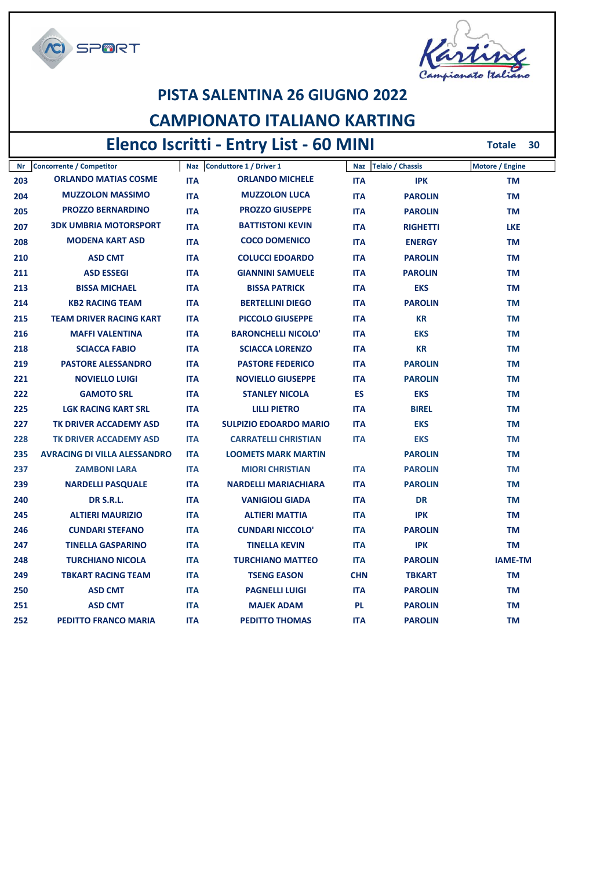

## PISTA SALENTINA 26 GIUGNO 2022

## CAMPIONATO ITALIANO KARTING

# Elenco Iscritti - Entry List - 60 MINI

**CI SPORT** 

Totale 30

| Nr  | <b>Concorrente / Competitor</b>     |            | Naz Conduttore 1 / Driver 1   | <b>Naz</b> | <b>Telaio / Chassis</b> | Motore / Engine |
|-----|-------------------------------------|------------|-------------------------------|------------|-------------------------|-----------------|
| 203 | <b>ORLANDO MATIAS COSME</b>         | <b>ITA</b> | <b>ORLANDO MICHELE</b>        | <b>ITA</b> | <b>IPK</b>              | TM              |
| 204 | <b>MUZZOLON MASSIMO</b>             | <b>ITA</b> | <b>MUZZOLON LUCA</b>          | <b>ITA</b> | <b>PAROLIN</b>          | <b>TM</b>       |
| 205 | <b>PROZZO BERNARDINO</b>            | <b>ITA</b> | <b>PROZZO GIUSEPPE</b>        | <b>ITA</b> | <b>PAROLIN</b>          | <b>TM</b>       |
| 207 | <b>3DK UMBRIA MOTORSPORT</b>        | <b>ITA</b> | <b>BATTISTONI KEVIN</b>       | <b>ITA</b> | <b>RIGHETTI</b>         | <b>LKE</b>      |
| 208 | <b>MODENA KART ASD</b>              | <b>ITA</b> | <b>COCO DOMENICO</b>          | <b>ITA</b> | <b>ENERGY</b>           | <b>TM</b>       |
| 210 | <b>ASD CMT</b>                      | <b>ITA</b> | <b>COLUCCI EDOARDO</b>        | <b>ITA</b> | <b>PAROLIN</b>          | <b>TM</b>       |
| 211 | <b>ASD ESSEGI</b>                   | <b>ITA</b> | <b>GIANNINI SAMUELE</b>       | <b>ITA</b> | <b>PAROLIN</b>          | <b>TM</b>       |
| 213 | <b>BISSA MICHAEL</b>                | <b>ITA</b> | <b>BISSA PATRICK</b>          | <b>ITA</b> | <b>EKS</b>              | ТM              |
| 214 | <b>KB2 RACING TEAM</b>              | <b>ITA</b> | <b>BERTELLINI DIEGO</b>       | <b>ITA</b> | <b>PAROLIN</b>          | TM              |
| 215 | <b>TEAM DRIVER RACING KART</b>      | <b>ITA</b> | <b>PICCOLO GIUSEPPE</b>       | <b>ITA</b> | <b>KR</b>               | <b>TM</b>       |
| 216 | <b>MAFFI VALENTINA</b>              | <b>ITA</b> | <b>BARONCHELLI NICOLO'</b>    | <b>ITA</b> | <b>EKS</b>              | <b>TM</b>       |
| 218 | <b>SCIACCA FABIO</b>                | <b>ITA</b> | <b>SCIACCA LORENZO</b>        | <b>ITA</b> | <b>KR</b>               | <b>TM</b>       |
| 219 | <b>PASTORE ALESSANDRO</b>           | <b>ITA</b> | <b>PASTORE FEDERICO</b>       | <b>ITA</b> | <b>PAROLIN</b>          | <b>TM</b>       |
| 221 | <b>NOVIELLO LUIGI</b>               | <b>ITA</b> | <b>NOVIELLO GIUSEPPE</b>      | <b>ITA</b> | <b>PAROLIN</b>          | TM              |
| 222 | <b>GAMOTO SRL</b>                   | <b>ITA</b> | <b>STANLEY NICOLA</b>         | <b>ES</b>  | <b>EKS</b>              | <b>TM</b>       |
| 225 | <b>LGK RACING KART SRL</b>          | <b>ITA</b> | <b>LILLI PIETRO</b>           | <b>ITA</b> | <b>BIREL</b>            | <b>TM</b>       |
| 227 | TK DRIVER ACCADEMY ASD              | <b>ITA</b> | <b>SULPIZIO EDOARDO MARIO</b> | <b>ITA</b> | <b>EKS</b>              | <b>TM</b>       |
| 228 | TK DRIVER ACCADEMY ASD              | <b>ITA</b> | <b>CARRATELLI CHRISTIAN</b>   | <b>ITA</b> | <b>EKS</b>              | <b>TM</b>       |
| 235 | <b>AVRACING DI VILLA ALESSANDRO</b> | <b>ITA</b> | <b>LOOMETS MARK MARTIN</b>    |            | <b>PAROLIN</b>          | <b>TM</b>       |
| 237 | <b>ZAMBONI LARA</b>                 | <b>ITA</b> | <b>MIORI CHRISTIAN</b>        | <b>ITA</b> | <b>PAROLIN</b>          | <b>TM</b>       |
| 239 | <b>NARDELLI PASQUALE</b>            | <b>ITA</b> | <b>NARDELLI MARIACHIARA</b>   | <b>ITA</b> | <b>PAROLIN</b>          | <b>TM</b>       |
| 240 | <b>DR S.R.L.</b>                    | <b>ITA</b> | <b>VANIGIOLI GIADA</b>        | <b>ITA</b> | <b>DR</b>               | TM              |
| 245 | <b>ALTIERI MAURIZIO</b>             | <b>ITA</b> | <b>ALTIERI MATTIA</b>         | <b>ITA</b> | <b>IPK</b>              | ΤM              |
| 246 | <b>CUNDARI STEFANO</b>              | <b>ITA</b> | <b>CUNDARI NICCOLO'</b>       | <b>ITA</b> | <b>PAROLIN</b>          | <b>TM</b>       |
| 247 | <b>TINELLA GASPARINO</b>            | <b>ITA</b> | <b>TINELLA KEVIN</b>          | <b>ITA</b> | <b>IPK</b>              | <b>TM</b>       |
| 248 | <b>TURCHIANO NICOLA</b>             | <b>ITA</b> | <b>TURCHIANO MATTEO</b>       | <b>ITA</b> | <b>PAROLIN</b>          | <b>IAME-TM</b>  |
| 249 | <b>TBKART RACING TEAM</b>           | <b>ITA</b> | <b>TSENG EASON</b>            | <b>CHN</b> | <b>TBKART</b>           | TM              |
| 250 | <b>ASD CMT</b>                      | <b>ITA</b> | <b>PAGNELLI LUIGI</b>         | <b>ITA</b> | <b>PAROLIN</b>          | ΤM              |
| 251 | <b>ASD CMT</b>                      | <b>ITA</b> | <b>MAJEK ADAM</b>             | <b>PL</b>  | <b>PAROLIN</b>          | <b>TM</b>       |
| 252 | <b>PEDITTO FRANCO MARIA</b>         | <b>ITA</b> | <b>PEDITTO THOMAS</b>         | <b>ITA</b> | <b>PAROLIN</b>          | <b>TM</b>       |
|     |                                     |            |                               |            |                         |                 |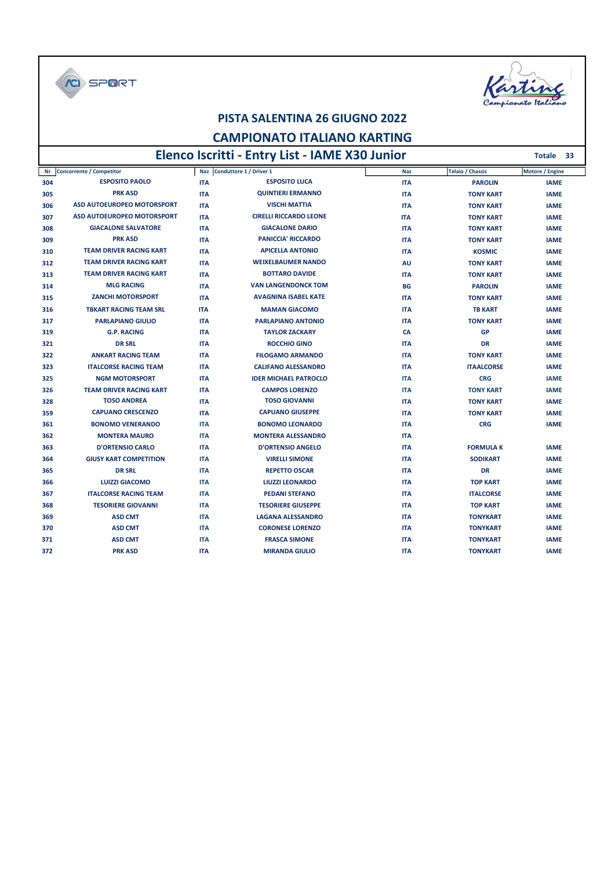C SPORT



Totale 33

#### PISTA SALENTINA 26 GIUGNO 2022

#### CAMPIONATO ITALIANO KARTING

## Elenco Iscritti - Entry List - IAME X30 Junior

| Nr  | <b>Concorrente / Competitor</b>   | <b>Naz</b> | Conduttore 1 / Driver 1       | <b>Naz</b> | <b>Telaio / Chassis</b> | Motore / Engine |
|-----|-----------------------------------|------------|-------------------------------|------------|-------------------------|-----------------|
| 304 | <b>ESPOSITO PAOLO</b>             | <b>ITA</b> | <b>ESPOSITO LUCA</b>          | <b>ITA</b> | <b>PAROLIN</b>          | <b>IAME</b>     |
| 305 | <b>PRK ASD</b>                    | <b>ITA</b> | <b>QUINTIERI ERMANNO</b>      | <b>ITA</b> | <b>TONY KART</b>        | <b>IAME</b>     |
| 306 | ASD AUTOEUROPEO MOTORSPORT        | <b>ITA</b> | <b>VISCHI MATTIA</b>          | <b>ITA</b> | <b>TONY KART</b>        | <b>IAME</b>     |
| 307 | <b>ASD AUTOEUROPEO MOTORSPORT</b> | <b>ITA</b> | <b>CIRELLI RICCARDO LEONE</b> | <b>ITA</b> | <b>TONY KART</b>        | <b>IAME</b>     |
| 308 | <b>GIACALONE SALVATORE</b>        | <b>ITA</b> | <b>GIACALONE DARIO</b>        | <b>ITA</b> | <b>TONY KART</b>        | <b>IAME</b>     |
| 309 | <b>PRK ASD</b>                    | <b>ITA</b> | <b>PANICCIA' RICCARDO</b>     | <b>ITA</b> | <b>TONY KART</b>        | <b>IAME</b>     |
| 310 | <b>TEAM DRIVER RACING KART</b>    | <b>ITA</b> | <b>APICELLA ANTONIO</b>       | <b>ITA</b> | <b>KOSMIC</b>           | <b>IAME</b>     |
| 312 | <b>TEAM DRIVER RACING KART</b>    | <b>ITA</b> | <b>WEIXELBAUMER NANDO</b>     | AU         | <b>TONY KART</b>        | <b>IAME</b>     |
| 313 | <b>TEAM DRIVER RACING KART</b>    | <b>ITA</b> | <b>BOTTARO DAVIDE</b>         | <b>ITA</b> | <b>TONY KART</b>        | <b>IAME</b>     |
| 314 | <b>MLG RACING</b>                 | <b>ITA</b> | <b>VAN LANGENDONCK TOM</b>    | <b>BG</b>  | <b>PAROLIN</b>          | <b>IAME</b>     |
| 315 | <b>ZANCHI MOTORSPORT</b>          | <b>ITA</b> | <b>AVAGNINA ISABEL KATE</b>   | <b>ITA</b> | <b>TONY KART</b>        | <b>IAME</b>     |
| 316 | <b>TBKART RACING TEAM SRL</b>     | <b>ITA</b> | <b>MAMAN GIACOMO</b>          | <b>ITA</b> | <b>TB KART</b>          | <b>IAME</b>     |
| 317 | <b>PARLAPIANO GIULIO</b>          | <b>ITA</b> | <b>PARLAPIANO ANTONIO</b>     | <b>ITA</b> | <b>TONY KART</b>        | <b>IAME</b>     |
| 319 | <b>G.P. RACING</b>                | <b>ITA</b> | <b>TAYLOR ZACKARY</b>         | CA         | <b>GP</b>               | <b>IAME</b>     |
| 321 | <b>DR SRL</b>                     | <b>ITA</b> | <b>ROCCHIO GINO</b>           | <b>ITA</b> | <b>DR</b>               | <b>IAME</b>     |
| 322 | <b>ANKART RACING TEAM</b>         | <b>ITA</b> | <b>FILOGAMO ARMANDO</b>       | <b>ITA</b> | <b>TONY KART</b>        | <b>IAME</b>     |
| 323 | <b>ITALCORSE RACING TEAM</b>      | <b>ITA</b> | <b>CALIFANO ALESSANDRO</b>    | <b>ITA</b> | <b>ITAALCORSE</b>       | <b>IAME</b>     |
| 325 | <b>NGM MOTORSPORT</b>             | <b>ITA</b> | <b>IDER MICHAEL PATROCLO</b>  | <b>ITA</b> | <b>CRG</b>              | <b>IAME</b>     |
| 326 | <b>TEAM DRIVER RACING KART</b>    | <b>ITA</b> | <b>CAMPOS LORENZO</b>         | <b>ITA</b> | <b>TONY KART</b>        | <b>IAME</b>     |
| 328 | <b>TOSO ANDREA</b>                | <b>ITA</b> | <b>TOSO GIOVANNI</b>          | <b>ITA</b> | <b>TONY KART</b>        | <b>IAME</b>     |
| 359 | <b>CAPUANO CRESCENZO</b>          | <b>ITA</b> | <b>CAPUANO GIUSEPPE</b>       | <b>ITA</b> | <b>TONY KART</b>        | <b>IAME</b>     |
| 361 | <b>BONOMO VENERANDO</b>           | <b>ITA</b> | <b>BONOMO LEONARDO</b>        | <b>ITA</b> | <b>CRG</b>              | <b>IAME</b>     |
| 362 | <b>MONTERA MAURO</b>              | <b>ITA</b> | <b>MONTERA ALESSANDRO</b>     | <b>ITA</b> |                         |                 |
| 363 | <b>D'ORTENSIO CARLO</b>           | <b>ITA</b> | <b>D'ORTENSIO ANGELO</b>      | <b>ITA</b> | <b>FORMULA K</b>        | <b>IAME</b>     |
| 364 | <b>GIUSY KART COMPETITION</b>     | <b>ITA</b> | <b>VIRELLI SIMONE</b>         | <b>ITA</b> | <b>SODIKART</b>         | <b>IAME</b>     |
| 365 | <b>DR SRL</b>                     | <b>ITA</b> | <b>REPETTO OSCAR</b>          | <b>ITA</b> | <b>DR</b>               | <b>IAME</b>     |
| 366 | <b>LUIZZI GIACOMO</b>             | <b>ITA</b> | <b>LIUZZI LEONARDO</b>        | <b>ITA</b> | <b>TOP KART</b>         | <b>IAME</b>     |
| 367 | <b>ITALCORSE RACING TEAM</b>      | <b>ITA</b> | <b>PEDANI STEFANO</b>         | <b>ITA</b> | <b>ITALCORSE</b>        | <b>IAME</b>     |
| 368 | <b>TESORIERE GIOVANNI</b>         | <b>ITA</b> | <b>TESORIERE GIUSEPPE</b>     | <b>ITA</b> | <b>TOP KART</b>         | <b>IAME</b>     |
| 369 | <b>ASD CMT</b>                    | <b>ITA</b> | <b>LAGANA ALESSANDRO</b>      | <b>ITA</b> | <b>TONYKART</b>         | <b>IAME</b>     |
| 370 | <b>ASD CMT</b>                    | <b>ITA</b> | <b>CORONESE LORENZO</b>       | <b>ITA</b> | <b>TONYKART</b>         | <b>IAME</b>     |
| 371 | <b>ASD CMT</b>                    | <b>ITA</b> | <b>FRASCA SIMONE</b>          | <b>ITA</b> | <b>TONYKART</b>         | <b>IAME</b>     |
| 372 | <b>PRK ASD</b>                    | <b>ITA</b> | <b>MIRANDA GIULIO</b>         | <b>ITA</b> | <b>TONYKART</b>         | <b>IAME</b>     |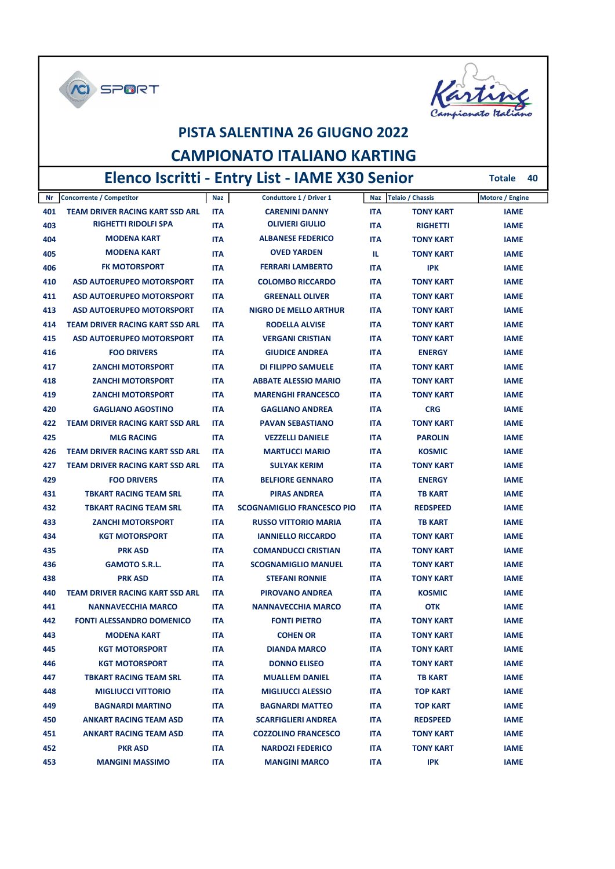



## PISTA SALENTINA 26 GIUGNO 2022 CAMPIONATO ITALIANO KARTING Elenco Iscritti - Entry List - IAME X30 Senior

Totale 40

| Nr  | Concorrente / Competitor               | Naz        | Conduttore 1 / Driver 1           |            | Naz   Telaio / Chassis | Motore / Engine |
|-----|----------------------------------------|------------|-----------------------------------|------------|------------------------|-----------------|
| 401 | <b>TEAM DRIVER RACING KART SSD ARL</b> | <b>ITA</b> | <b>CARENINI DANNY</b>             | <b>ITA</b> | <b>TONY KART</b>       | <b>IAME</b>     |
| 403 | <b>RIGHETTI RIDOLFI SPA</b>            | <b>ITA</b> | <b>OLIVIERI GIULIO</b>            | <b>ITA</b> | <b>RIGHETTI</b>        | <b>IAME</b>     |
| 404 | <b>MODENA KART</b>                     | <b>ITA</b> | <b>ALBANESE FEDERICO</b>          | <b>ITA</b> | <b>TONY KART</b>       | <b>IAME</b>     |
| 405 | <b>MODENA KART</b>                     | ITA        | <b>OVED YARDEN</b>                | TL.        | <b>TONY KART</b>       | <b>IAME</b>     |
| 406 | <b>FK MOTORSPORT</b>                   | ITA        | <b>FERRARI LAMBERTO</b>           | <b>ITA</b> | IPK                    | <b>IAME</b>     |
| 410 | <b>ASD AUTOERUPEO MOTORSPORT</b>       | <b>ITA</b> | <b>COLOMBO RICCARDO</b>           | <b>ITA</b> | <b>TONY KART</b>       | <b>IAME</b>     |
| 411 | <b>ASD AUTOERUPEO MOTORSPORT</b>       | <b>ITA</b> | <b>GREENALL OLIVER</b>            | <b>ITA</b> | <b>TONY KART</b>       | <b>IAME</b>     |
| 413 | <b>ASD AUTOERUPEO MOTORSPORT</b>       | <b>ITA</b> | <b>NIGRO DE MELLO ARTHUR</b>      | <b>ITA</b> | <b>TONY KART</b>       | <b>IAME</b>     |
| 414 | <b>TEAM DRIVER RACING KART SSD ARL</b> | <b>ITA</b> | <b>RODELLA ALVISE</b>             | <b>ITA</b> | <b>TONY KART</b>       | <b>IAME</b>     |
| 415 | <b>ASD AUTOERUPEO MOTORSPORT</b>       | <b>ITA</b> | <b>VERGANI CRISTIAN</b>           | <b>ITA</b> | <b>TONY KART</b>       | <b>IAME</b>     |
| 416 | <b>FOO DRIVERS</b>                     | <b>ITA</b> | <b>GIUDICE ANDREA</b>             | <b>ITA</b> | <b>ENERGY</b>          | <b>IAME</b>     |
| 417 | <b>ZANCHI MOTORSPORT</b>               | ITA        | <b>DI FILIPPO SAMUELE</b>         | <b>ITA</b> | <b>TONY KART</b>       | <b>IAME</b>     |
| 418 | <b>ZANCHI MOTORSPORT</b>               | <b>ITA</b> | <b>ABBATE ALESSIO MARIO</b>       | <b>ITA</b> | <b>TONY KART</b>       | <b>IAME</b>     |
| 419 | <b>ZANCHI MOTORSPORT</b>               | <b>ITA</b> | <b>MARENGHI FRANCESCO</b>         | <b>ITA</b> | <b>TONY KART</b>       | <b>IAME</b>     |
| 420 | <b>GAGLIANO AGOSTINO</b>               | <b>ITA</b> | <b>GAGLIANO ANDREA</b>            | <b>ITA</b> | <b>CRG</b>             | <b>IAME</b>     |
| 422 | <b>TEAM DRIVER RACING KART SSD ARL</b> | <b>ITA</b> | <b>PAVAN SEBASTIANO</b>           | <b>ITA</b> | <b>TONY KART</b>       | <b>IAME</b>     |
| 425 | <b>MLG RACING</b>                      | <b>ITA</b> | <b>VEZZELLI DANIELE</b>           | <b>ITA</b> | <b>PAROLIN</b>         | <b>IAME</b>     |
| 426 | <b>TEAM DRIVER RACING KART SSD ARL</b> | <b>ITA</b> | <b>MARTUCCI MARIO</b>             | <b>ITA</b> | <b>KOSMIC</b>          | <b>IAME</b>     |
| 427 | <b>TEAM DRIVER RACING KART SSD ARL</b> | <b>ITA</b> | <b>SULYAK KERIM</b>               | <b>ITA</b> | <b>TONY KART</b>       | <b>IAME</b>     |
| 429 | <b>FOO DRIVERS</b>                     | <b>ITA</b> | <b>BELFIORE GENNARO</b>           | <b>ITA</b> | <b>ENERGY</b>          | <b>IAME</b>     |
| 431 | <b>TBKART RACING TEAM SRL</b>          | <b>ITA</b> | <b>PIRAS ANDREA</b>               | <b>ITA</b> | <b>TB KART</b>         | <b>IAME</b>     |
| 432 | <b>TBKART RACING TEAM SRL</b>          | <b>ITA</b> | <b>SCOGNAMIGLIO FRANCESCO PIO</b> | <b>ITA</b> | <b>REDSPEED</b>        | <b>IAME</b>     |
| 433 | <b>ZANCHI MOTORSPORT</b>               | <b>ITA</b> | <b>RUSSO VITTORIO MARIA</b>       | <b>ITA</b> | <b>TB KART</b>         | <b>IAME</b>     |
| 434 | <b>KGT MOTORSPORT</b>                  | <b>ITA</b> | <b>IANNIELLO RICCARDO</b>         | <b>ITA</b> | <b>TONY KART</b>       | <b>IAME</b>     |
| 435 | <b>PRK ASD</b>                         | <b>ITA</b> | <b>COMANDUCCI CRISTIAN</b>        | <b>ITA</b> | <b>TONY KART</b>       | <b>IAME</b>     |
| 436 | <b>GAMOTO S.R.L.</b>                   | <b>ITA</b> | <b>SCOGNAMIGLIO MANUEL</b>        | <b>ITA</b> | <b>TONY KART</b>       | <b>IAME</b>     |
| 438 | <b>PRK ASD</b>                         | <b>ITA</b> | <b>STEFANI RONNIE</b>             | <b>ITA</b> | <b>TONY KART</b>       | <b>IAME</b>     |
| 440 | <b>TEAM DRIVER RACING KART SSD ARL</b> | <b>ITA</b> | <b>PIROVANO ANDREA</b>            | <b>ITA</b> | <b>KOSMIC</b>          | <b>IAME</b>     |
| 441 | <b>NANNAVECCHIA MARCO</b>              | <b>ITA</b> | <b>NANNAVECCHIA MARCO</b>         | <b>ITA</b> | <b>OTK</b>             | <b>IAME</b>     |
| 442 | <b>FONTI ALESSANDRO DOMENICO</b>       | <b>ITA</b> | <b>FONTI PIETRO</b>               | <b>ITA</b> | <b>TONY KART</b>       | <b>IAME</b>     |
| 443 | <b>MODENA KART</b>                     | ITA        | <b>COHEN OR</b>                   | <b>ITA</b> | <b>TONY KART</b>       | <b>IAME</b>     |
| 445 | <b>KGT MOTORSPORT</b>                  | ITA        | <b>DIANDA MARCO</b>               | ITA        | <b>TONY KART</b>       | <b>IAME</b>     |
| 446 | <b>KGT MOTORSPORT</b>                  | ITA        | <b>DONNO ELISEO</b>               | ITA        | <b>TONY KART</b>       | <b>IAME</b>     |
| 447 | <b>TBKART RACING TEAM SRL</b>          | ITA        | <b>MUALLEM DANIEL</b>             | ITA        | <b>TB KART</b>         | <b>IAME</b>     |
| 448 | <b>MIGLIUCCI VITTORIO</b>              | ITA        | <b>MIGLIUCCI ALESSIO</b>          | <b>ITA</b> | <b>TOP KART</b>        | <b>IAME</b>     |
| 449 | <b>BAGNARDI MARTINO</b>                | <b>ITA</b> | <b>BAGNARDI MATTEO</b>            | <b>ITA</b> | <b>TOP KART</b>        | <b>IAME</b>     |
| 450 | <b>ANKART RACING TEAM ASD</b>          | ITA        | <b>SCARFIGLIERI ANDREA</b>        | <b>ITA</b> | <b>REDSPEED</b>        | <b>IAME</b>     |
| 451 | <b>ANKART RACING TEAM ASD</b>          | ITA        | <b>COZZOLINO FRANCESCO</b>        | <b>ITA</b> | <b>TONY KART</b>       | <b>IAME</b>     |
| 452 | <b>PKR ASD</b>                         | ITA        | <b>NARDOZI FEDERICO</b>           | ITA        | <b>TONY KART</b>       | <b>IAME</b>     |
| 453 | <b>MANGINI MASSIMO</b>                 | ITA        | <b>MANGINI MARCO</b>              | ITA        | IPK                    | <b>IAME</b>     |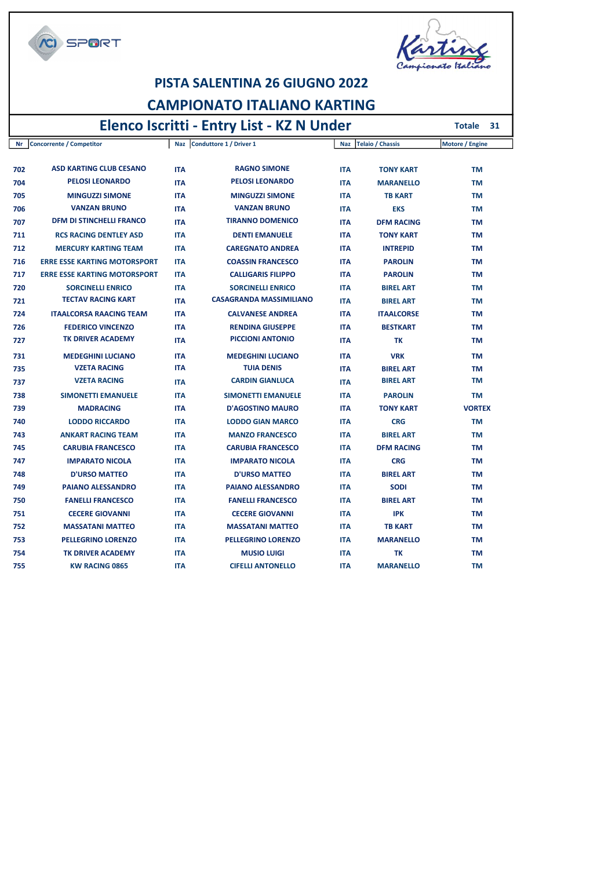**SPORT** 



Totale 31

#### PISTA SALENTINA 26 GIUGNO 2022 CAMPIONATO ITALIANO KARTING

#### Elenco Iscritti - Entry List - KZ N Under

Nr Concorrente / Competitor Naz Conduttore 1 / Driver 1 Naz Telaio / Chassis Motore / Engine 702 ASD KARTING CLUB CESANO ITA RAGNO SIMONE ITA TONY KART TM 704 PELOSI LEONARDO ITA PELOSI LEONARDO ITA MARANELLO TM 705 MINGUZZI SIMONE ITA MINGUZZI SIMONE ITA TB KART TM 706 VANZAN BRUNO ITA VANZAN BRUNO ITA EKS TM 707 DFM DI STINCHELLI FRANCO ITA TIRANNO DOMENICO ITA DFM RACING TM 711 RCS RACING DENTLEY ASD ITA DENTI EMANUELE ITA TONY KART TM 712 MERCURY KARTING TEAM ITA CAREGNATO ANDREA ITA INTREPID TM 716 ERRE ESSE KARTING MOTORSPORT ITA COASSIN FRANCESCO ITA PAROLIN TM 717 ERRE ESSE KARTING MOTORSPORT ITA CALLIGARIS FILIPPO ITA PAROLIN TM 720 SORCINELLI ENRICO ITA SORCINELLI ENRICO ITA BIREL ART TM 721 TECTAV RACING KART ITA CASAGRANDA MASSIMILIANO ITA BIREL ART TM 724 ITAALCORSA RAACING TEAM ITA CALVANESE ANDREA ITA ITAALCORSE TM 726 FEDERICO VINCENZO ITA RENDINA GIUSEPPE ITA BESTKART TM 727 TK DRIVER ACADEMY ITA PICCIONI ANTONIO ITA TK TM 731 MEDEGHINI LUCIANO ITA MEDEGHINI LUCIANO ITA MEDEGHINI LUCIANO ITA VRK TM <sup>735</sup> VZETA RACING ITA TUIA DENIS ITA BIREL ART TM <sup>737</sup> VZETA RACING ITA CARDIN GIANLUCA ITA BIREL ART TM 738 SIMONETTI EMANUELE ITA SIMONETTI EMANUELE ITA PAROLIN TM 739 MADRACING ITA D'AGOSTINO MAURO ITA TONY KART VORTEX 740 LODDO RICCARDO ITA LODDO GIAN MARCO ITA CRG TM 743 ANKART RACING TEAM ITA MANZO FRANCESCO ITA BIREL ART TM 745 CARUBIA FRANCESCO ITA CARUBIA FRANCESCO ITA DFM RACING TM 747 IMPARATO NICOLA ITA IMPARATO NICOLA ITA CRG TM 748 D'URSO MATTEO ITA D'URSO MATTEO ITA BIREL ART TM 749 PAIANO ALESSANDRO ITA PAIANO ALESSANDRO ITA SODI TM 750 FANELLI FRANCESCO ITA FANELLI FRANCESCO ITA BIREL ART TM 751 CECERE GIOVANNI ITA CECERE GIOVANNI ITA IPK TM 752 MASSATANI MATTEO ITA MASSATANI MATTEO ITA TB KART TM 753 PELLEGRINO LORENZO ITA PELLEGRINO LORENZO ITA MARANELLO TM 754 TK DRIVER ACADEMY ITA MUSIO LUIGI ITA TK TM 755 KW RACING 0865 ITA CIFELLI ANTONELLO ITA MARANELLO TM